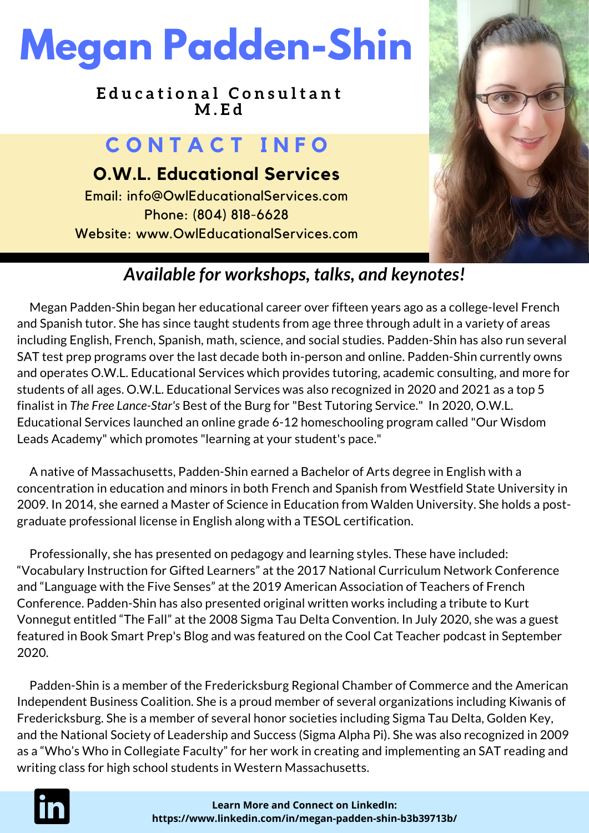# **Megan Padden-Shin**

**E d u c a t i o n a l C o n s u l t a n t M . E d**

### **C O N T A C T I N F O**

**O.W.L. Educational Services** Email: info@OwlEducationalServices.com Phone: (804) 818-6628 Website: www.OwlEducationalServices.com



### *Available for workshops, talks, and keynotes!*

Megan Padden-Shin began her educational career over fifteen years ago as a college-level French and Spanish tutor. She has since taught students from age three through adult in a variety of areas including English, French, Spanish, math, science, and social studies. Padden-Shin has also run several SAT test prep programs over the last decade both in-person and online. Padden-Shin currently owns and operates O.W.L. Educational Services which provides tutoring, academic consulting, and more for students of all ages. O.W.L. Educational Services was also recognized in 2020 and 2021 as a top 5 finalist in *The Free Lance-Star's* Best of the Burg for "Best Tutoring Service." In 2020, O.W.L. Educational Services launched an online grade 6-12 homeschooling program called "Our Wisdom Leads Academy" which promotes "learning at your student's pace."

A native of Massachusetts, Padden-Shin earned a Bachelor of Arts degree in English with a concentration in education and minors in both French and Spanish from Westfield State University in 2009. In 2014, she earned a Master of Science in Education from Walden University. She holds a postgraduate professional license in English along with a TESOL certification.

Professionally, she has presented on pedagogy and learning styles. These have included: "Vocabulary Instruction for Gifted Learners" at the 2017 National Curriculum Network Conference and "Language with the Five Senses" at the 2019 American Association of Teachers of French Conference. Padden-Shin has also presented original written works including a tribute to Kurt Vonnegut entitled "The Fall" at the 2008 Sigma Tau Delta Convention. In July 2020, she was a guest featured in Book Smart Prep's Blog and was featured on the Cool Cat Teacher podcast in September 2020.

Padden-Shin is a member of the Fredericksburg Regional Chamber of Commerce and the American Independent Business Coalition. She is a proud member of several organizations including Kiwanis of Fredericksburg. She is a member of several honor societies including Sigma Tau Delta, Golden Key, and the National Society of Leadership and Success (Sigma Alpha Pi). She was also recognized in 2009 as a "Who's Who in Collegiate Faculty" for her work in creating and implementing an SAT reading and writing class for high school students in Western Massachusetts.

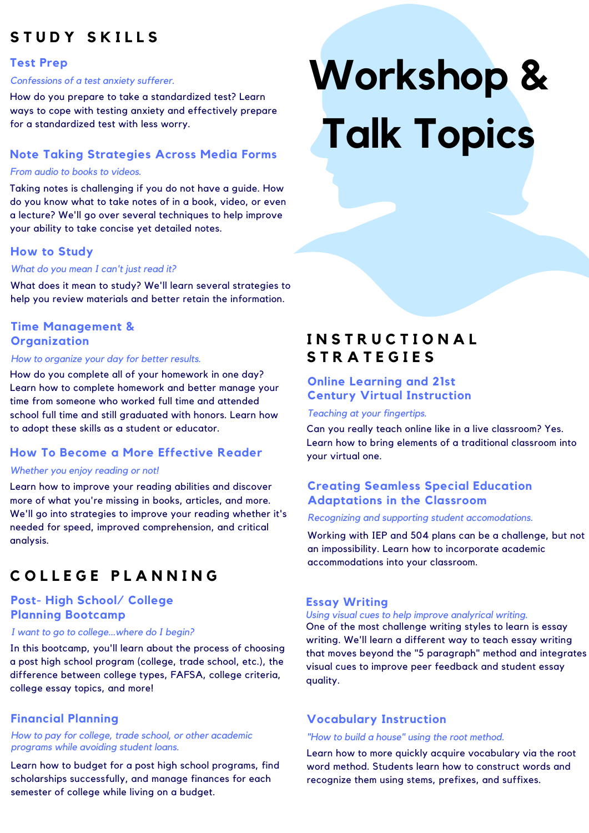### **S T U D Y S K I L L S**

### **Test Prep**

### *Confessions of a test anxiety sufferer.*

How do you prepare to take a standardized test? Learn ways to cope with testing anxiety and effectively prepare for a standardized test with less worry.

### **Note Taking Strategies Across Media Forms**

### *From audio to books to videos.*

Taking notes is challenging if you do not have a guide. How do you know what to take notes of in a book, video, or even a lecture? We'll go over several techniques to help improve your ability to take concise yet detailed notes.

### **How to Study**

### *What do you mean I can't just read it?*

What does it mean to study? We'll learn several strategies to help you review materials and better retain the information.

### **Time Management & Organization**

#### *How to organize your day for better results.*

How do you complete all of your homework in one day? Learn how to complete homework and better manage your time from someone who worked full time and attended school full time and still graduated with honors. Learn how to adopt these skills as a student or educator.

### **How To Become a More Effective Reader**

### *Whether you enjoy reading or not!*

Learn how to improve your reading abilities and discover more of what you're missing in books, articles, and more. We'll go into strategies to improve your reading whether it's needed for speed, improved comprehension, and critical analysis.

### **C O L L E G E P L A N N I N G**

### **Post- High School/ College Planning Bootcamp**

### *I want to go to college...where do I begin?*

In this bootcamp, you'll learn about the process of choosing a post high school program (college, trade school, etc.), the difference between college types, FAFSA, college criteria, college essay topics, and more!

### **Financial Planning**

### *How to pay for college, trade school, or other academic programs while avoiding student loans.*

Learn how to budget for a post high school programs, find scholarships successfully, and manage finances for each semester of college while living on a budget.

# **Workshop & Talk Topics**

### **I N S T R U C T I O N A L S T R A T E G I E S**

### **Online Learning and 21st Century Virtual Instruction**

### *Teaching at your fingertips.*

Can you really teach online like in a live classroom? Yes. Learn how to bring elements of a traditional classroom into your virtual one.

### **Creating Seamless Special Education Adaptations in the Classroom**

### *Recognizing and supporting student accomodations.*

Working with IEP and 504 plans can be a challenge, but not an impossibility. Learn how to incorporate academic accommodations into your classroom.

### **Essay Writing**

*Using visual cues to help improve analyrical writing.* One of the most challenge writing styles to learn is essay writing. We'll learn a different way to teach essay writing that moves beyond the "5 paragraph" method and integrates visual cues to improve peer feedback and student essay quality.

### **Vocabulary Instruction**

### *"How to build a house" using the root method.*

Learn how to more quickly acquire vocabulary via the root word method. Students learn how to construct words and recognize them using stems, prefixes, and suffixes.